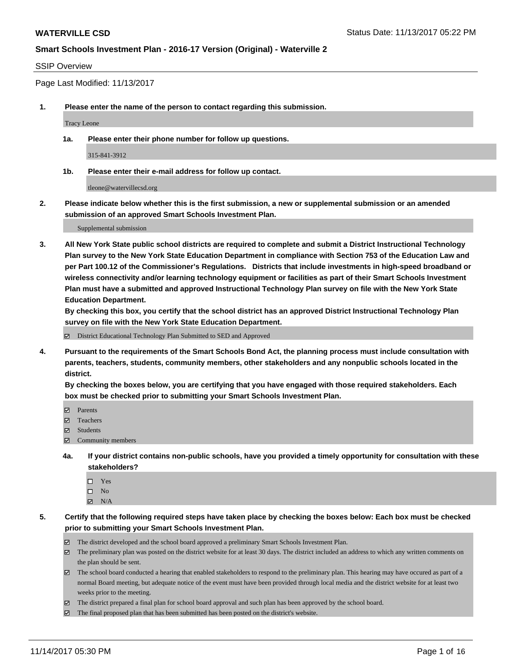#### SSIP Overview

Page Last Modified: 11/13/2017

**1. Please enter the name of the person to contact regarding this submission.**

Tracy Leone

**1a. Please enter their phone number for follow up questions.**

315-841-3912

**1b. Please enter their e-mail address for follow up contact.**

tleone@watervillecsd.org

**2. Please indicate below whether this is the first submission, a new or supplemental submission or an amended submission of an approved Smart Schools Investment Plan.**

Supplemental submission

**3. All New York State public school districts are required to complete and submit a District Instructional Technology Plan survey to the New York State Education Department in compliance with Section 753 of the Education Law and per Part 100.12 of the Commissioner's Regulations. Districts that include investments in high-speed broadband or wireless connectivity and/or learning technology equipment or facilities as part of their Smart Schools Investment Plan must have a submitted and approved Instructional Technology Plan survey on file with the New York State Education Department.** 

**By checking this box, you certify that the school district has an approved District Instructional Technology Plan survey on file with the New York State Education Department.**

District Educational Technology Plan Submitted to SED and Approved

**4. Pursuant to the requirements of the Smart Schools Bond Act, the planning process must include consultation with parents, teachers, students, community members, other stakeholders and any nonpublic schools located in the district.** 

**By checking the boxes below, you are certifying that you have engaged with those required stakeholders. Each box must be checked prior to submitting your Smart Schools Investment Plan.**

- **マ** Parents
- Teachers
- **☑** Students
- Community members
- **4a. If your district contains non-public schools, have you provided a timely opportunity for consultation with these stakeholders?**
	- □ Yes
	- $\square$  No
	- $\boxtimes$  N/A

**5. Certify that the following required steps have taken place by checking the boxes below: Each box must be checked prior to submitting your Smart Schools Investment Plan.**

- The district developed and the school board approved a preliminary Smart Schools Investment Plan.
- The preliminary plan was posted on the district website for at least 30 days. The district included an address to which any written comments on the plan should be sent.
- The school board conducted a hearing that enabled stakeholders to respond to the preliminary plan. This hearing may have occured as part of a normal Board meeting, but adequate notice of the event must have been provided through local media and the district website for at least two weeks prior to the meeting.
- The district prepared a final plan for school board approval and such plan has been approved by the school board.
- $\boxtimes$  The final proposed plan that has been submitted has been posted on the district's website.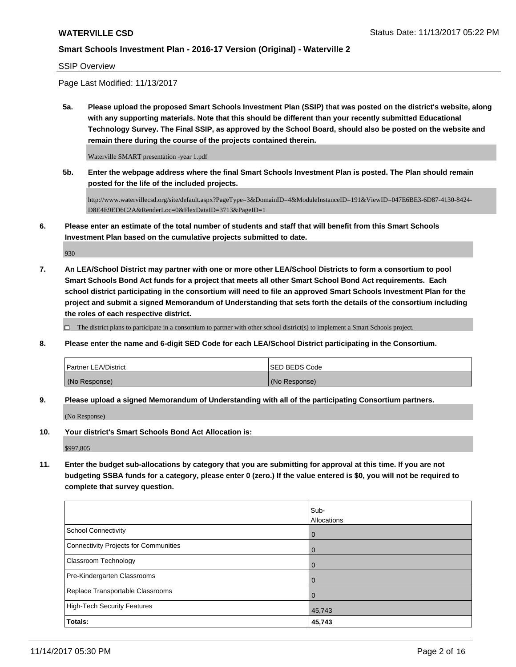#### SSIP Overview

Page Last Modified: 11/13/2017

**5a. Please upload the proposed Smart Schools Investment Plan (SSIP) that was posted on the district's website, along with any supporting materials. Note that this should be different than your recently submitted Educational Technology Survey. The Final SSIP, as approved by the School Board, should also be posted on the website and remain there during the course of the projects contained therein.**

Waterville SMART presentation -year 1.pdf

**5b. Enter the webpage address where the final Smart Schools Investment Plan is posted. The Plan should remain posted for the life of the included projects.**

http://www.watervillecsd.org/site/default.aspx?PageType=3&DomainID=4&ModuleInstanceID=191&ViewID=047E6BE3-6D87-4130-8424- D8E4E9ED6C2A&RenderLoc=0&FlexDataID=3713&PageID=1

**6. Please enter an estimate of the total number of students and staff that will benefit from this Smart Schools Investment Plan based on the cumulative projects submitted to date.**

930

**7. An LEA/School District may partner with one or more other LEA/School Districts to form a consortium to pool Smart Schools Bond Act funds for a project that meets all other Smart School Bond Act requirements. Each school district participating in the consortium will need to file an approved Smart Schools Investment Plan for the project and submit a signed Memorandum of Understanding that sets forth the details of the consortium including the roles of each respective district.**

 $\Box$  The district plans to participate in a consortium to partner with other school district(s) to implement a Smart Schools project.

**8. Please enter the name and 6-digit SED Code for each LEA/School District participating in the Consortium.**

| <b>Partner LEA/District</b> | ISED BEDS Code |
|-----------------------------|----------------|
| (No Response)               | (No Response)  |

**9. Please upload a signed Memorandum of Understanding with all of the participating Consortium partners.**

(No Response)

**10. Your district's Smart Schools Bond Act Allocation is:**

\$997,805

**11. Enter the budget sub-allocations by category that you are submitting for approval at this time. If you are not budgeting SSBA funds for a category, please enter 0 (zero.) If the value entered is \$0, you will not be required to complete that survey question.**

|                                       | Sub-           |
|---------------------------------------|----------------|
|                                       | Allocations    |
| School Connectivity                   | $\overline{0}$ |
| Connectivity Projects for Communities | $\overline{0}$ |
| <b>Classroom Technology</b>           | $\Omega$       |
| Pre-Kindergarten Classrooms           | $\overline{0}$ |
| Replace Transportable Classrooms      | $\Omega$       |
| High-Tech Security Features           | 45,743         |
| Totals:                               | 45,743         |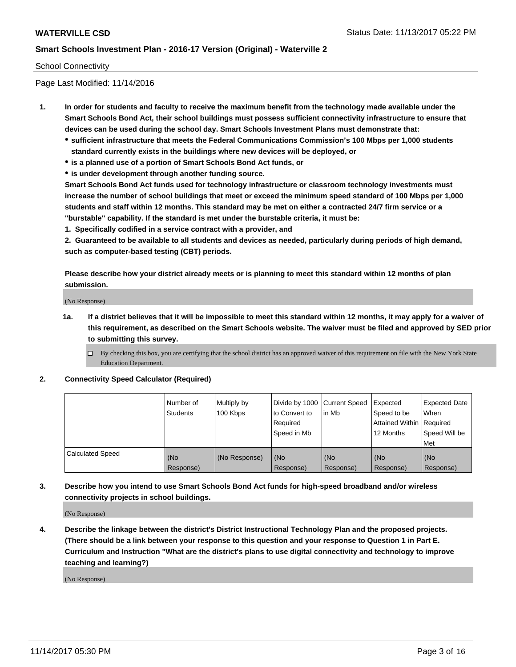### School Connectivity

Page Last Modified: 11/14/2016

- **1. In order for students and faculty to receive the maximum benefit from the technology made available under the Smart Schools Bond Act, their school buildings must possess sufficient connectivity infrastructure to ensure that devices can be used during the school day. Smart Schools Investment Plans must demonstrate that:**
	- **sufficient infrastructure that meets the Federal Communications Commission's 100 Mbps per 1,000 students standard currently exists in the buildings where new devices will be deployed, or**
	- **is a planned use of a portion of Smart Schools Bond Act funds, or**
	- **is under development through another funding source.**

**Smart Schools Bond Act funds used for technology infrastructure or classroom technology investments must increase the number of school buildings that meet or exceed the minimum speed standard of 100 Mbps per 1,000 students and staff within 12 months. This standard may be met on either a contracted 24/7 firm service or a "burstable" capability. If the standard is met under the burstable criteria, it must be:**

**1. Specifically codified in a service contract with a provider, and**

**2. Guaranteed to be available to all students and devices as needed, particularly during periods of high demand, such as computer-based testing (CBT) periods.**

**Please describe how your district already meets or is planning to meet this standard within 12 months of plan submission.**

(No Response)

**1a. If a district believes that it will be impossible to meet this standard within 12 months, it may apply for a waiver of this requirement, as described on the Smart Schools website. The waiver must be filed and approved by SED prior to submitting this survey.**

**2. Connectivity Speed Calculator (Required)**

|                         | l Number of<br>Students | Multiply by<br>100 Kbps | Divide by 1000 Current Speed<br>to Convert to<br>Required<br>Speed in Mb | lin Mb           | Expected<br>Speed to be<br>Attained Within Required<br>12 Months | <b>Expected Date</b><br>When<br>Speed Will be<br>Met |
|-------------------------|-------------------------|-------------------------|--------------------------------------------------------------------------|------------------|------------------------------------------------------------------|------------------------------------------------------|
| <b>Calculated Speed</b> | (No<br>Response)        | (No Response)           | (No<br>Response)                                                         | (No<br>Response) | (No<br>Response)                                                 | (No<br>Response)                                     |

**3. Describe how you intend to use Smart Schools Bond Act funds for high-speed broadband and/or wireless connectivity projects in school buildings.**

(No Response)

**4. Describe the linkage between the district's District Instructional Technology Plan and the proposed projects. (There should be a link between your response to this question and your response to Question 1 in Part E. Curriculum and Instruction "What are the district's plans to use digital connectivity and technology to improve teaching and learning?)**

(No Response)

 $\Box$  By checking this box, you are certifying that the school district has an approved waiver of this requirement on file with the New York State Education Department.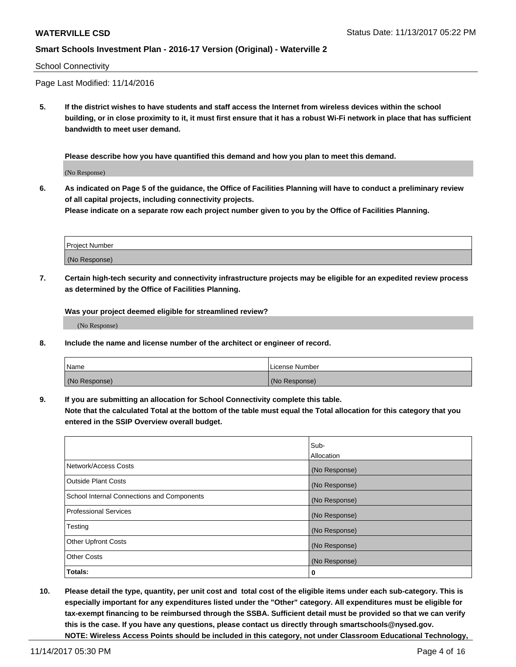#### School Connectivity

Page Last Modified: 11/14/2016

**5. If the district wishes to have students and staff access the Internet from wireless devices within the school building, or in close proximity to it, it must first ensure that it has a robust Wi-Fi network in place that has sufficient bandwidth to meet user demand.**

**Please describe how you have quantified this demand and how you plan to meet this demand.**

(No Response)

**6. As indicated on Page 5 of the guidance, the Office of Facilities Planning will have to conduct a preliminary review of all capital projects, including connectivity projects.**

**Please indicate on a separate row each project number given to you by the Office of Facilities Planning.**

| Project Number |  |
|----------------|--|
|                |  |
| (No Response)  |  |

**7. Certain high-tech security and connectivity infrastructure projects may be eligible for an expedited review process as determined by the Office of Facilities Planning.**

**Was your project deemed eligible for streamlined review?**

(No Response)

**8. Include the name and license number of the architect or engineer of record.**

| Name          | License Number |
|---------------|----------------|
| (No Response) | (No Response)  |

**9. If you are submitting an allocation for School Connectivity complete this table.**

**Note that the calculated Total at the bottom of the table must equal the Total allocation for this category that you entered in the SSIP Overview overall budget.** 

|                                            | Sub-          |
|--------------------------------------------|---------------|
|                                            | Allocation    |
| Network/Access Costs                       | (No Response) |
| <b>Outside Plant Costs</b>                 | (No Response) |
| School Internal Connections and Components | (No Response) |
| <b>Professional Services</b>               | (No Response) |
| Testing                                    | (No Response) |
| <b>Other Upfront Costs</b>                 | (No Response) |
| <b>Other Costs</b>                         | (No Response) |
| Totals:                                    | 0             |

**10. Please detail the type, quantity, per unit cost and total cost of the eligible items under each sub-category. This is especially important for any expenditures listed under the "Other" category. All expenditures must be eligible for tax-exempt financing to be reimbursed through the SSBA. Sufficient detail must be provided so that we can verify this is the case. If you have any questions, please contact us directly through smartschools@nysed.gov. NOTE: Wireless Access Points should be included in this category, not under Classroom Educational Technology,**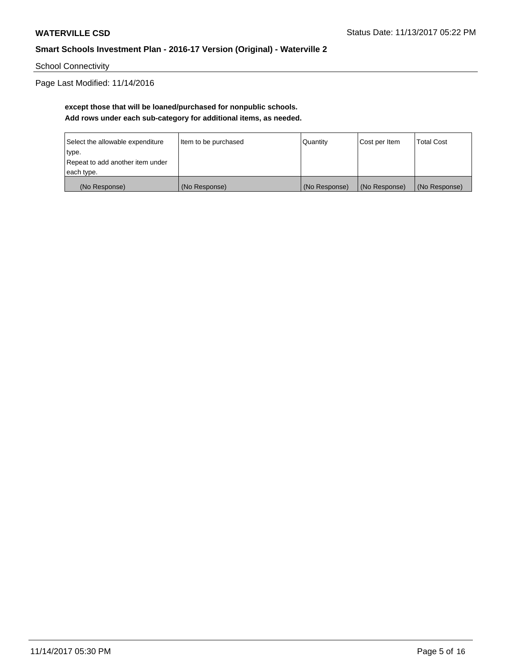School Connectivity

Page Last Modified: 11/14/2016

## **except those that will be loaned/purchased for nonpublic schools. Add rows under each sub-category for additional items, as needed.**

| Select the allowable expenditure | Item to be purchased | Quantity      | Cost per Item | <b>Total Cost</b> |
|----------------------------------|----------------------|---------------|---------------|-------------------|
| type.                            |                      |               |               |                   |
| Repeat to add another item under |                      |               |               |                   |
| each type.                       |                      |               |               |                   |
| (No Response)                    | (No Response)        | (No Response) | (No Response) | (No Response)     |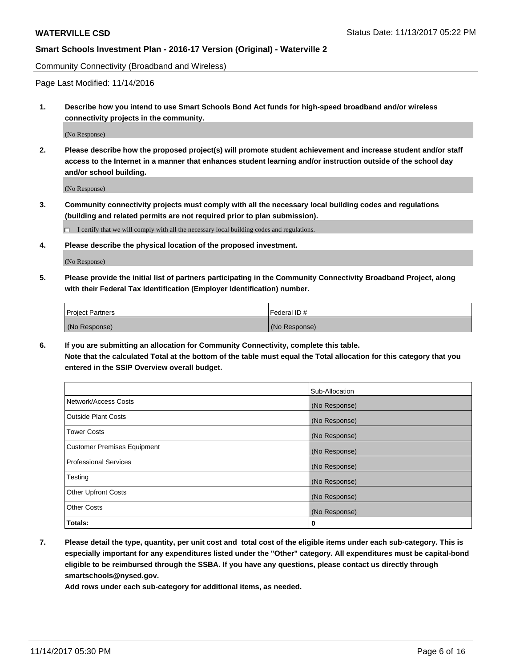Community Connectivity (Broadband and Wireless)

Page Last Modified: 11/14/2016

**1. Describe how you intend to use Smart Schools Bond Act funds for high-speed broadband and/or wireless connectivity projects in the community.**

(No Response)

**2. Please describe how the proposed project(s) will promote student achievement and increase student and/or staff access to the Internet in a manner that enhances student learning and/or instruction outside of the school day and/or school building.**

(No Response)

- **3. Community connectivity projects must comply with all the necessary local building codes and regulations (building and related permits are not required prior to plan submission).**
	- $\Box$  I certify that we will comply with all the necessary local building codes and regulations.
- **4. Please describe the physical location of the proposed investment.**

(No Response)

**5. Please provide the initial list of partners participating in the Community Connectivity Broadband Project, along with their Federal Tax Identification (Employer Identification) number.**

| <b>Project Partners</b> | l Federal ID # |
|-------------------------|----------------|
| (No Response)           | (No Response)  |

**6. If you are submitting an allocation for Community Connectivity, complete this table. Note that the calculated Total at the bottom of the table must equal the Total allocation for this category that you entered in the SSIP Overview overall budget.**

|                                    | Sub-Allocation |
|------------------------------------|----------------|
| Network/Access Costs               | (No Response)  |
| <b>Outside Plant Costs</b>         | (No Response)  |
| <b>Tower Costs</b>                 | (No Response)  |
| <b>Customer Premises Equipment</b> | (No Response)  |
| <b>Professional Services</b>       | (No Response)  |
| Testing                            | (No Response)  |
| <b>Other Upfront Costs</b>         | (No Response)  |
| <b>Other Costs</b>                 | (No Response)  |
| Totals:                            | 0              |

**7. Please detail the type, quantity, per unit cost and total cost of the eligible items under each sub-category. This is especially important for any expenditures listed under the "Other" category. All expenditures must be capital-bond eligible to be reimbursed through the SSBA. If you have any questions, please contact us directly through smartschools@nysed.gov.**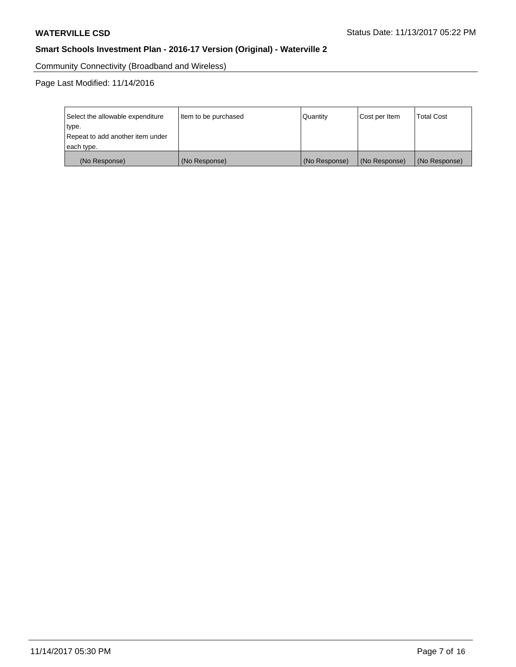Community Connectivity (Broadband and Wireless)

Page Last Modified: 11/14/2016

| Select the allowable expenditure | Item to be purchased | Quantity      | Cost per Item | <b>Total Cost</b> |
|----------------------------------|----------------------|---------------|---------------|-------------------|
| type.                            |                      |               |               |                   |
| Repeat to add another item under |                      |               |               |                   |
| each type.                       |                      |               |               |                   |
| (No Response)                    | (No Response)        | (No Response) | (No Response) | (No Response)     |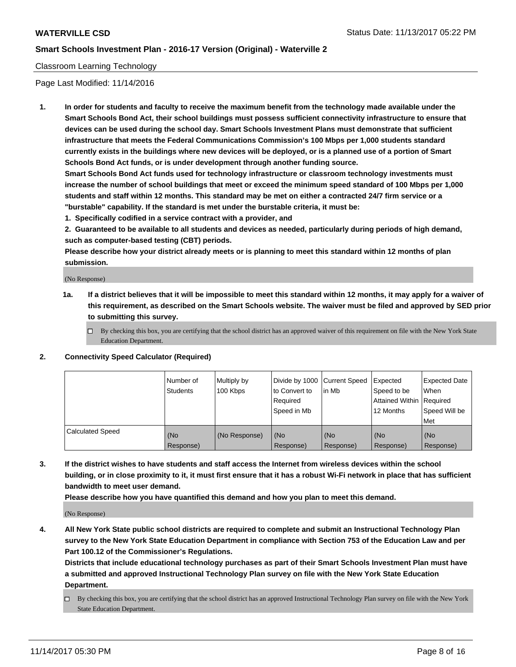#### Classroom Learning Technology

Page Last Modified: 11/14/2016

**1. In order for students and faculty to receive the maximum benefit from the technology made available under the Smart Schools Bond Act, their school buildings must possess sufficient connectivity infrastructure to ensure that devices can be used during the school day. Smart Schools Investment Plans must demonstrate that sufficient infrastructure that meets the Federal Communications Commission's 100 Mbps per 1,000 students standard currently exists in the buildings where new devices will be deployed, or is a planned use of a portion of Smart Schools Bond Act funds, or is under development through another funding source.**

**Smart Schools Bond Act funds used for technology infrastructure or classroom technology investments must increase the number of school buildings that meet or exceed the minimum speed standard of 100 Mbps per 1,000 students and staff within 12 months. This standard may be met on either a contracted 24/7 firm service or a "burstable" capability. If the standard is met under the burstable criteria, it must be:**

**1. Specifically codified in a service contract with a provider, and**

**2. Guaranteed to be available to all students and devices as needed, particularly during periods of high demand, such as computer-based testing (CBT) periods.**

**Please describe how your district already meets or is planning to meet this standard within 12 months of plan submission.**

(No Response)

- **1a. If a district believes that it will be impossible to meet this standard within 12 months, it may apply for a waiver of this requirement, as described on the Smart Schools website. The waiver must be filed and approved by SED prior to submitting this survey.**
	- $\Box$  By checking this box, you are certifying that the school district has an approved waiver of this requirement on file with the New York State Education Department.
- **2. Connectivity Speed Calculator (Required)**

|                         | Number of<br><b>Students</b> | Multiply by<br>100 Kbps | Divide by 1000 Current Speed<br>to Convert to<br>Reauired<br>Speed in Mb | l in Mb          | Expected<br>Speed to be<br>Attained Within   Required<br>12 Months | Expected Date<br>When<br>Speed Will be<br>Met |
|-------------------------|------------------------------|-------------------------|--------------------------------------------------------------------------|------------------|--------------------------------------------------------------------|-----------------------------------------------|
| <b>Calculated Speed</b> | (No<br>Response)             | (No Response)           | (No<br>Response)                                                         | (No<br>Response) | (No<br>Response)                                                   | (No<br>Response)                              |

**3. If the district wishes to have students and staff access the Internet from wireless devices within the school building, or in close proximity to it, it must first ensure that it has a robust Wi-Fi network in place that has sufficient bandwidth to meet user demand.**

**Please describe how you have quantified this demand and how you plan to meet this demand.**

(No Response)

**4. All New York State public school districts are required to complete and submit an Instructional Technology Plan survey to the New York State Education Department in compliance with Section 753 of the Education Law and per Part 100.12 of the Commissioner's Regulations.**

**Districts that include educational technology purchases as part of their Smart Schools Investment Plan must have a submitted and approved Instructional Technology Plan survey on file with the New York State Education Department.**

By checking this box, you are certifying that the school district has an approved Instructional Technology Plan survey on file with the New York State Education Department.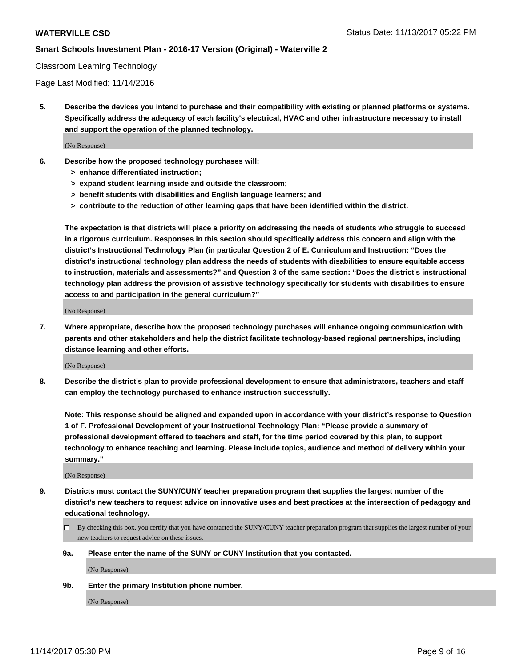#### Classroom Learning Technology

Page Last Modified: 11/14/2016

**5. Describe the devices you intend to purchase and their compatibility with existing or planned platforms or systems. Specifically address the adequacy of each facility's electrical, HVAC and other infrastructure necessary to install and support the operation of the planned technology.**

(No Response)

- **6. Describe how the proposed technology purchases will:**
	- **> enhance differentiated instruction;**
	- **> expand student learning inside and outside the classroom;**
	- **> benefit students with disabilities and English language learners; and**
	- **> contribute to the reduction of other learning gaps that have been identified within the district.**

**The expectation is that districts will place a priority on addressing the needs of students who struggle to succeed in a rigorous curriculum. Responses in this section should specifically address this concern and align with the district's Instructional Technology Plan (in particular Question 2 of E. Curriculum and Instruction: "Does the district's instructional technology plan address the needs of students with disabilities to ensure equitable access to instruction, materials and assessments?" and Question 3 of the same section: "Does the district's instructional technology plan address the provision of assistive technology specifically for students with disabilities to ensure access to and participation in the general curriculum?"**

(No Response)

**7. Where appropriate, describe how the proposed technology purchases will enhance ongoing communication with parents and other stakeholders and help the district facilitate technology-based regional partnerships, including distance learning and other efforts.**

(No Response)

**8. Describe the district's plan to provide professional development to ensure that administrators, teachers and staff can employ the technology purchased to enhance instruction successfully.**

**Note: This response should be aligned and expanded upon in accordance with your district's response to Question 1 of F. Professional Development of your Instructional Technology Plan: "Please provide a summary of professional development offered to teachers and staff, for the time period covered by this plan, to support technology to enhance teaching and learning. Please include topics, audience and method of delivery within your summary."**

(No Response)

- **9. Districts must contact the SUNY/CUNY teacher preparation program that supplies the largest number of the district's new teachers to request advice on innovative uses and best practices at the intersection of pedagogy and educational technology.**
	- By checking this box, you certify that you have contacted the SUNY/CUNY teacher preparation program that supplies the largest number of your new teachers to request advice on these issues.
	- **9a. Please enter the name of the SUNY or CUNY Institution that you contacted.**

(No Response)

**9b. Enter the primary Institution phone number.**

(No Response)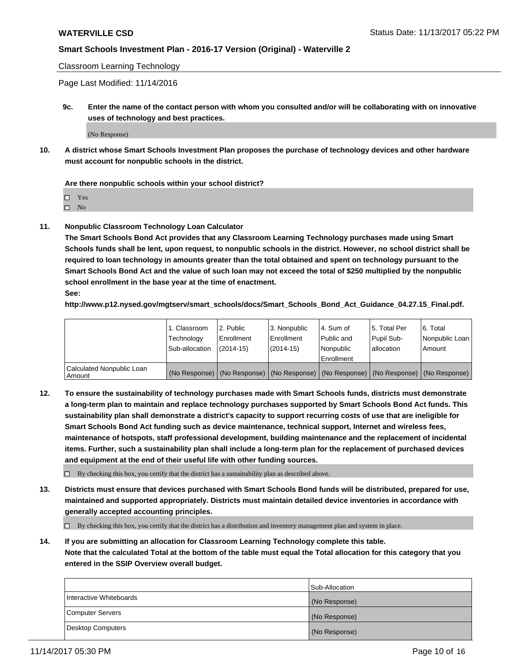Classroom Learning Technology

Page Last Modified: 11/14/2016

**9c. Enter the name of the contact person with whom you consulted and/or will be collaborating with on innovative uses of technology and best practices.**

(No Response)

**10. A district whose Smart Schools Investment Plan proposes the purchase of technology devices and other hardware must account for nonpublic schools in the district.**

**Are there nonpublic schools within your school district?**

Yes

 $\square$  No

**11. Nonpublic Classroom Technology Loan Calculator**

**The Smart Schools Bond Act provides that any Classroom Learning Technology purchases made using Smart Schools funds shall be lent, upon request, to nonpublic schools in the district. However, no school district shall be required to loan technology in amounts greater than the total obtained and spent on technology pursuant to the Smart Schools Bond Act and the value of such loan may not exceed the total of \$250 multiplied by the nonpublic school enrollment in the base year at the time of enactment.**

**See:**

**http://www.p12.nysed.gov/mgtserv/smart\_schools/docs/Smart\_Schools\_Bond\_Act\_Guidance\_04.27.15\_Final.pdf.**

|                                       | 1. Classroom   | l 2. Public   | 3. Nonpublic | l 4. Sum of | 15. Total Per                                                                                 | 6. Total       |
|---------------------------------------|----------------|---------------|--------------|-------------|-----------------------------------------------------------------------------------------------|----------------|
|                                       | Technology     | Enrollment    | Enrollment   | Public and  | Pupil Sub-                                                                                    | Nonpublic Loan |
|                                       | Sub-allocation | $(2014 - 15)$ | $(2014-15)$  | l Nonpublic | allocation                                                                                    | Amount         |
|                                       |                |               |              | Enrollment  |                                                                                               |                |
| Calculated Nonpublic Loan<br>  Amount |                |               |              |             | (No Response)   (No Response)   (No Response)   (No Response)   (No Response)   (No Response) |                |

**12. To ensure the sustainability of technology purchases made with Smart Schools funds, districts must demonstrate a long-term plan to maintain and replace technology purchases supported by Smart Schools Bond Act funds. This sustainability plan shall demonstrate a district's capacity to support recurring costs of use that are ineligible for Smart Schools Bond Act funding such as device maintenance, technical support, Internet and wireless fees, maintenance of hotspots, staff professional development, building maintenance and the replacement of incidental items. Further, such a sustainability plan shall include a long-term plan for the replacement of purchased devices and equipment at the end of their useful life with other funding sources.**

 $\Box$  By checking this box, you certify that the district has a sustainability plan as described above.

**13. Districts must ensure that devices purchased with Smart Schools Bond funds will be distributed, prepared for use, maintained and supported appropriately. Districts must maintain detailed device inventories in accordance with generally accepted accounting principles.**

By checking this box, you certify that the district has a distribution and inventory management plan and system in place.

**14. If you are submitting an allocation for Classroom Learning Technology complete this table. Note that the calculated Total at the bottom of the table must equal the Total allocation for this category that you entered in the SSIP Overview overall budget.**

|                         | Sub-Allocation |
|-------------------------|----------------|
| Interactive Whiteboards | (No Response)  |
| Computer Servers        | (No Response)  |
| Desktop Computers       | (No Response)  |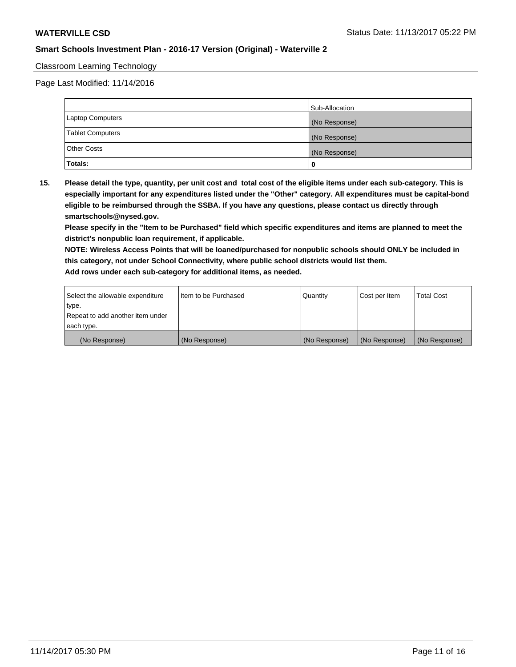### Classroom Learning Technology

Page Last Modified: 11/14/2016

|                         | Sub-Allocation |
|-------------------------|----------------|
| Laptop Computers        | (No Response)  |
| <b>Tablet Computers</b> | (No Response)  |
| <b>Other Costs</b>      | (No Response)  |
| Totals:                 |                |

**15. Please detail the type, quantity, per unit cost and total cost of the eligible items under each sub-category. This is especially important for any expenditures listed under the "Other" category. All expenditures must be capital-bond eligible to be reimbursed through the SSBA. If you have any questions, please contact us directly through smartschools@nysed.gov.**

**Please specify in the "Item to be Purchased" field which specific expenditures and items are planned to meet the district's nonpublic loan requirement, if applicable.**

**NOTE: Wireless Access Points that will be loaned/purchased for nonpublic schools should ONLY be included in this category, not under School Connectivity, where public school districts would list them. Add rows under each sub-category for additional items, as needed.**

| Select the allowable expenditure | I Item to be Purchased | Quantity      | Cost per Item   | <b>Total Cost</b> |
|----------------------------------|------------------------|---------------|-----------------|-------------------|
| type.                            |                        |               |                 |                   |
| Repeat to add another item under |                        |               |                 |                   |
| each type.                       |                        |               |                 |                   |
| (No Response)                    | (No Response)          | (No Response) | l (No Response) | (No Response)     |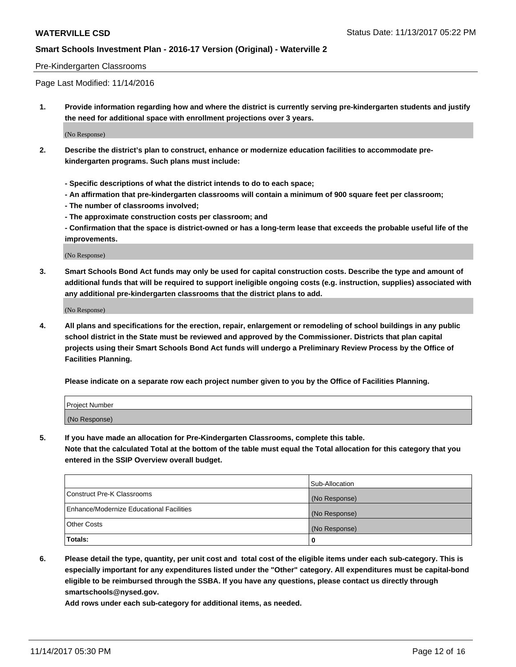#### Pre-Kindergarten Classrooms

Page Last Modified: 11/14/2016

**1. Provide information regarding how and where the district is currently serving pre-kindergarten students and justify the need for additional space with enrollment projections over 3 years.**

(No Response)

- **2. Describe the district's plan to construct, enhance or modernize education facilities to accommodate prekindergarten programs. Such plans must include:**
	- **Specific descriptions of what the district intends to do to each space;**
	- **An affirmation that pre-kindergarten classrooms will contain a minimum of 900 square feet per classroom;**
	- **The number of classrooms involved;**
	- **The approximate construction costs per classroom; and**
	- **Confirmation that the space is district-owned or has a long-term lease that exceeds the probable useful life of the improvements.**

(No Response)

**3. Smart Schools Bond Act funds may only be used for capital construction costs. Describe the type and amount of additional funds that will be required to support ineligible ongoing costs (e.g. instruction, supplies) associated with any additional pre-kindergarten classrooms that the district plans to add.**

(No Response)

**4. All plans and specifications for the erection, repair, enlargement or remodeling of school buildings in any public school district in the State must be reviewed and approved by the Commissioner. Districts that plan capital projects using their Smart Schools Bond Act funds will undergo a Preliminary Review Process by the Office of Facilities Planning.**

**Please indicate on a separate row each project number given to you by the Office of Facilities Planning.**

| Project Number |  |  |
|----------------|--|--|
| (No Response)  |  |  |

**5. If you have made an allocation for Pre-Kindergarten Classrooms, complete this table.**

**Note that the calculated Total at the bottom of the table must equal the Total allocation for this category that you entered in the SSIP Overview overall budget.**

|                                          | Sub-Allocation |
|------------------------------------------|----------------|
| Construct Pre-K Classrooms               | (No Response)  |
| Enhance/Modernize Educational Facilities | (No Response)  |
| <b>Other Costs</b>                       | (No Response)  |
| <b>Totals:</b>                           | 0              |

**6. Please detail the type, quantity, per unit cost and total cost of the eligible items under each sub-category. This is especially important for any expenditures listed under the "Other" category. All expenditures must be capital-bond eligible to be reimbursed through the SSBA. If you have any questions, please contact us directly through smartschools@nysed.gov.**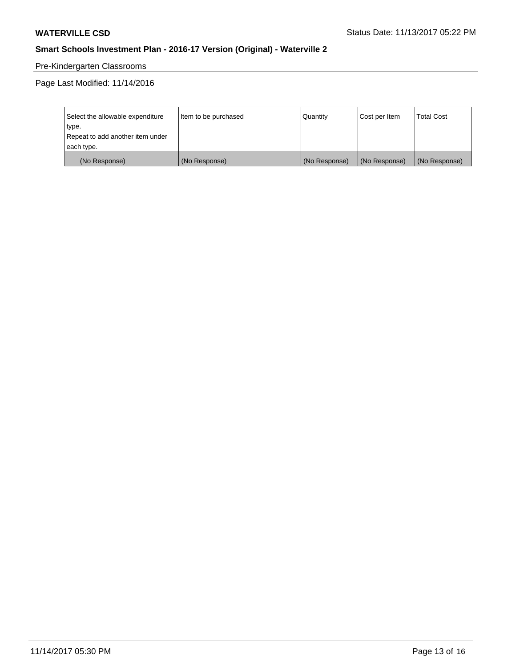# Pre-Kindergarten Classrooms

Page Last Modified: 11/14/2016

| Select the allowable expenditure | Item to be purchased | Quantity      | Cost per Item | <b>Total Cost</b> |
|----------------------------------|----------------------|---------------|---------------|-------------------|
| type.                            |                      |               |               |                   |
| Repeat to add another item under |                      |               |               |                   |
| each type.                       |                      |               |               |                   |
| (No Response)                    | (No Response)        | (No Response) | (No Response) | (No Response)     |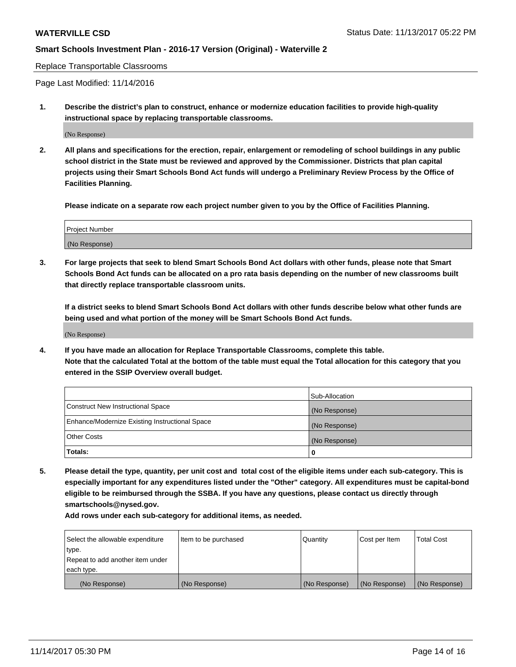Replace Transportable Classrooms

Page Last Modified: 11/14/2016

**1. Describe the district's plan to construct, enhance or modernize education facilities to provide high-quality instructional space by replacing transportable classrooms.**

(No Response)

**2. All plans and specifications for the erection, repair, enlargement or remodeling of school buildings in any public school district in the State must be reviewed and approved by the Commissioner. Districts that plan capital projects using their Smart Schools Bond Act funds will undergo a Preliminary Review Process by the Office of Facilities Planning.**

**Please indicate on a separate row each project number given to you by the Office of Facilities Planning.**

| <b>Project Number</b> |  |
|-----------------------|--|
| (No Response)         |  |

**3. For large projects that seek to blend Smart Schools Bond Act dollars with other funds, please note that Smart Schools Bond Act funds can be allocated on a pro rata basis depending on the number of new classrooms built that directly replace transportable classroom units.**

**If a district seeks to blend Smart Schools Bond Act dollars with other funds describe below what other funds are being used and what portion of the money will be Smart Schools Bond Act funds.**

(No Response)

**4. If you have made an allocation for Replace Transportable Classrooms, complete this table. Note that the calculated Total at the bottom of the table must equal the Total allocation for this category that you entered in the SSIP Overview overall budget.**

|                                                | Sub-Allocation |
|------------------------------------------------|----------------|
| Construct New Instructional Space              | (No Response)  |
| Enhance/Modernize Existing Instructional Space | (No Response)  |
| <b>Other Costs</b>                             | (No Response)  |
| Totals:                                        | 0              |

**5. Please detail the type, quantity, per unit cost and total cost of the eligible items under each sub-category. This is especially important for any expenditures listed under the "Other" category. All expenditures must be capital-bond eligible to be reimbursed through the SSBA. If you have any questions, please contact us directly through smartschools@nysed.gov.**

| Select the allowable expenditure<br>type.      | lltem to be purchased | Quantity      | Cost per Item | <b>Total Cost</b> |
|------------------------------------------------|-----------------------|---------------|---------------|-------------------|
| Repeat to add another item under<br>each type. |                       |               |               |                   |
| (No Response)                                  | (No Response)         | (No Response) | (No Response) | (No Response)     |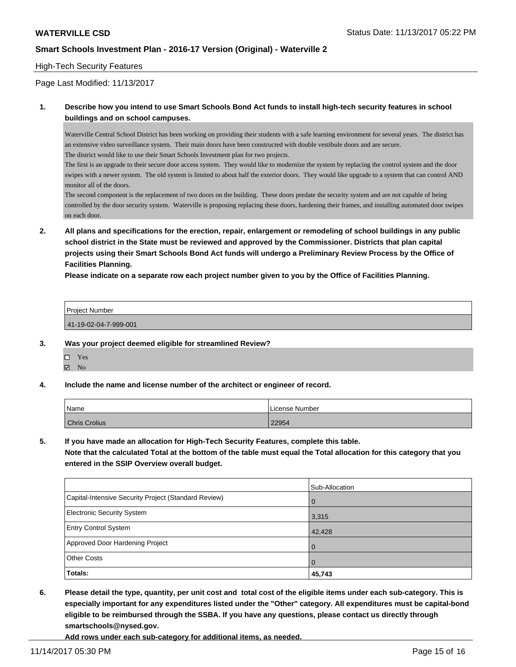#### High-Tech Security Features

Page Last Modified: 11/13/2017

### **1. Describe how you intend to use Smart Schools Bond Act funds to install high-tech security features in school buildings and on school campuses.**

Waterville Central School District has been working on providing their students with a safe learning environment for several years. The district has an extensive video surveillance system. Their main doors have been constructed with double vestibule doors and are secure. The district would like to use their Smart Schools Investment plan for two projects.

The first is an upgrade to their secure door access system. They would like to modernize the system by replacing the control system and the door swipes with a newer system. The old system is limited to about half the exterior doors. They would like upgrade to a system that can control AND monitor all of the doors.

The second component is the replacement of two doors on the building. These doors predate the security system and are not capable of being controlled by the door security system. Waterville is proposing replacing these doors, hardening their frames, and installing automated door swipes on each door.

**2. All plans and specifications for the erection, repair, enlargement or remodeling of school buildings in any public school district in the State must be reviewed and approved by the Commissioner. Districts that plan capital projects using their Smart Schools Bond Act funds will undergo a Preliminary Review Process by the Office of Facilities Planning.** 

**Please indicate on a separate row each project number given to you by the Office of Facilities Planning.**

| Project Number        |  |  |
|-----------------------|--|--|
|                       |  |  |
| 41-19-02-04-7-999-001 |  |  |

#### **3. Was your project deemed eligible for streamlined Review?**

| П | Yes |  |
|---|-----|--|
| 罓 | Nο  |  |

**4. Include the name and license number of the architect or engineer of record.**

| Name          | License Number |
|---------------|----------------|
| Chris Crolius | 22954          |

**5. If you have made an allocation for High-Tech Security Features, complete this table.**

**Note that the calculated Total at the bottom of the table must equal the Total allocation for this category that you entered in the SSIP Overview overall budget.**

|                                                      | Sub-Allocation |
|------------------------------------------------------|----------------|
| Capital-Intensive Security Project (Standard Review) | l O            |
| <b>Electronic Security System</b>                    | 3,315          |
| <b>Entry Control System</b>                          | 42,428         |
| Approved Door Hardening Project                      | l O            |
| <b>Other Costs</b>                                   | l 0            |
| Totals:                                              | 45,743         |

**6. Please detail the type, quantity, per unit cost and total cost of the eligible items under each sub-category. This is especially important for any expenditures listed under the "Other" category. All expenditures must be capital-bond eligible to be reimbursed through the SSBA. If you have any questions, please contact us directly through smartschools@nysed.gov.**